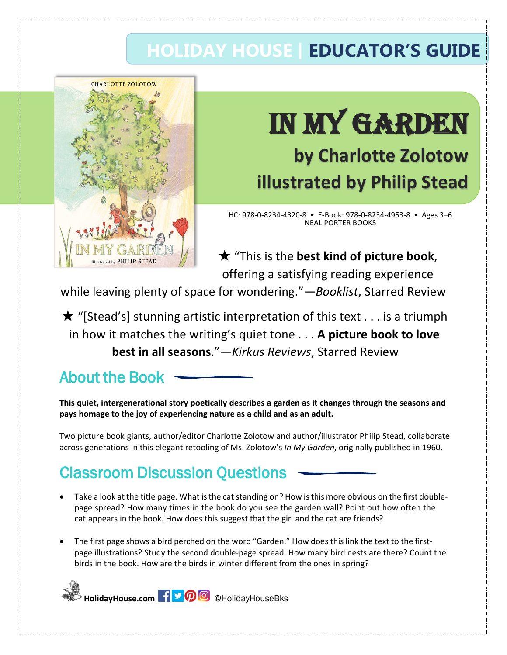## **HOLIDAY HOUSE | EDUCATOR'S GUIDE**



# IN MY GARDEN

## **by Charlotte Zolotow illustrated by Philip Stead**

HC: 978-0-8234-4320-8 • E-Book: 978-0-8234-4953-8 • Ages 3–6 NEAL PORTER BOOKS

★ "This is the **best kind of picture book**, offering a satisfying reading experience

while leaving plenty of space for wondering."—*Booklist*, Starred Review

 $\star$  "[Stead's] stunning artistic interpretation of this text . . . is a triumph in how it matches the writing's quiet tone . . . **A picture book to love best in all seasons**."—*Kirkus Reviews*, Starred Review

#### About the Book

**This quiet, intergenerational story poetically describes a garden as it changes through the seasons and pays homage to the joy of experiencing nature as a child and as an adult.** 

Two picture book giants, author/editor Charlotte Zolotow and author/illustrator Philip Stead, collaborate across generations in this elegant retooling of Ms. Zolotow's *In My Garden*, originally published in 1960.

### Classroom Discussion Questions

- Take a look at the title page. What is the cat standing on? How is this more obvious on the first doublepage spread? How many times in the book do you see the garden wall? Point out how often the cat appears in the book. How does this suggest that the girl and the cat are friends?
- The first page shows a bird perched on the word "Garden." How does this link the text to the firstpage illustrations? Study the second double-page spread. How many bird nests are there? Count the birds in the book. How are the birds in winter different from the ones in spring?